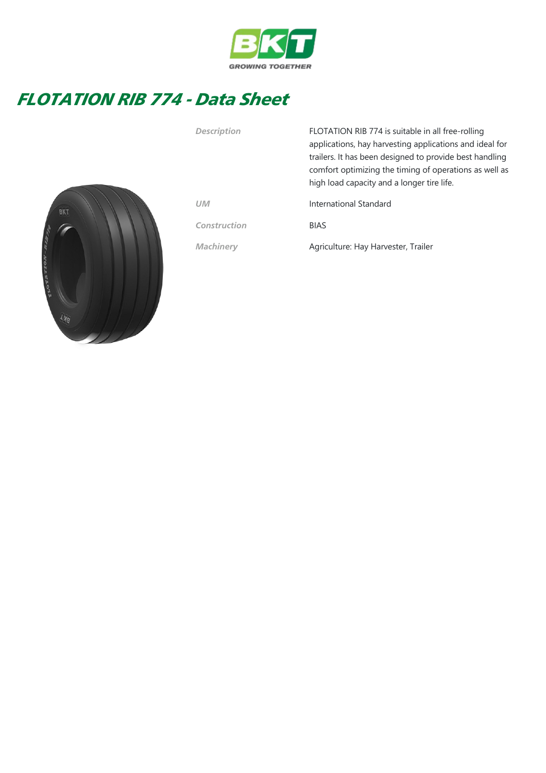

## FLOTATION RIB 774 - Data Sheet



| <b>Description</b> | FLOTATION RIB 774 is suitable in all free-rolling<br>applications, hay harvesting applications and ideal for<br>trailers. It has been designed to provide best handling<br>comfort optimizing the timing of operations as well as<br>high load capacity and a longer tire life. |
|--------------------|---------------------------------------------------------------------------------------------------------------------------------------------------------------------------------------------------------------------------------------------------------------------------------|
| <b>UM</b>          | International Standard                                                                                                                                                                                                                                                          |
| Construction       | <b>BIAS</b>                                                                                                                                                                                                                                                                     |
| <b>Machinery</b>   | Agriculture: Hay Harvester, Trailer                                                                                                                                                                                                                                             |